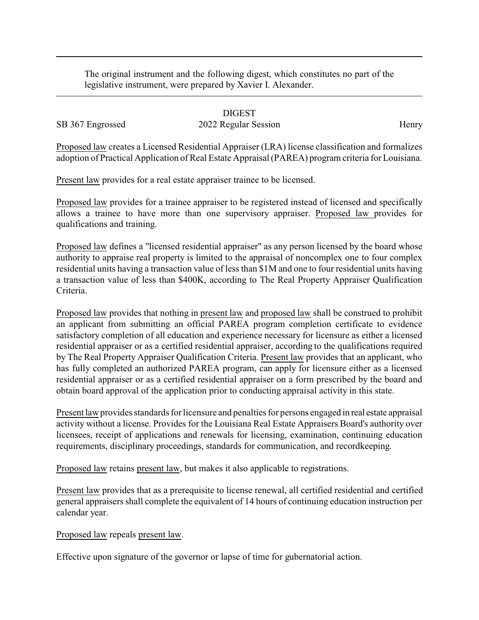The original instrument and the following digest, which constitutes no part of the legislative instrument, were prepared by Xavier I. Alexander.

DIGEST SB 367 Engrossed 2022 Regular Session Henry

Proposed law creates a Licensed Residential Appraiser (LRA) license classification and formalizes adoption of Practical Application of Real Estate Appraisal (PAREA) program criteria for Louisiana.

Present law provides for a real estate appraiser trainee to be licensed.

Proposed law provides for a trainee appraiser to be registered instead of licensed and specifically allows a trainee to have more than one supervisory appraiser. Proposed law provides for qualifications and training.

Proposed law defines a "licensed residential appraiser" as any person licensed by the board whose authority to appraise real property is limited to the appraisal of noncomplex one to four complex residential units having a transaction value of less than \$1M and one to four residential units having a transaction value of less than \$400K, according to The Real Property Appraiser Qualification Criteria.

Proposed law provides that nothing in present law and proposed law shall be construed to prohibit an applicant from submitting an official PAREA program completion certificate to evidence satisfactory completion of all education and experience necessary for licensure as either a licensed residential appraiser or as a certified residential appraiser, according to the qualifications required by The Real Property Appraiser Qualification Criteria. Present law provides that an applicant, who has fully completed an authorized PAREA program, can apply for licensure either as a licensed residential appraiser or as a certified residential appraiser on a form prescribed by the board and obtain board approval of the application prior to conducting appraisal activity in this state.

Present law provides standards for licensure and penalties for persons engaged in real estate appraisal activity without a license. Provides for the Louisiana Real Estate Appraisers Board's authority over licensees, receipt of applications and renewals for licensing, examination, continuing education requirements, disciplinary proceedings, standards for communication, and recordkeeping.

Proposed law retains present law, but makes it also applicable to registrations.

Present law provides that as a prerequisite to license renewal, all certified residential and certified general appraisers shall complete the equivalent of 14 hours of continuing education instruction per calendar year.

Proposed law repeals present law.

Effective upon signature of the governor or lapse of time for gubernatorial action.